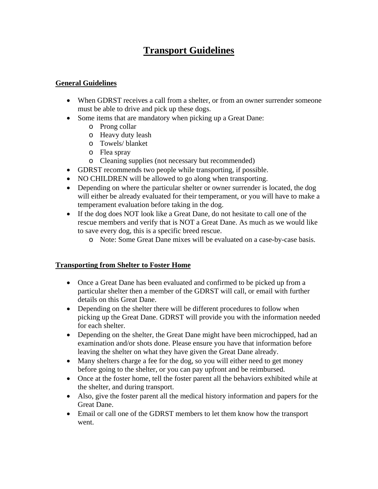# **Transport Guidelines**

### **General Guidelines**

- When GDRST receives a call from a shelter, or from an owner surrender someone must be able to drive and pick up these dogs.
- Some items that are mandatory when picking up a Great Dane:
	- o Prong collar
	- o Heavy duty leash
	- o Towels/ blanket
	- o Flea spray
	- o Cleaning supplies (not necessary but recommended)
- GDRST recommends two people while transporting, if possible.
- NO CHILDREN will be allowed to go along when transporting.
- Depending on where the particular shelter or owner surrender is located, the dog will either be already evaluated for their temperament, or you will have to make a temperament evaluation before taking in the dog.
- If the dog does NOT look like a Great Dane, do not hesitate to call one of the rescue members and verify that is NOT a Great Dane. As much as we would like to save every dog, this is a specific breed rescue.
	- o Note: Some Great Dane mixes will be evaluated on a case-by-case basis.

#### **Transporting from Shelter to Foster Home**

- Once a Great Dane has been evaluated and confirmed to be picked up from a particular shelter then a member of the GDRST will call, or email with further details on this Great Dane.
- Depending on the shelter there will be different procedures to follow when picking up the Great Dane. GDRST will provide you with the information needed for each shelter.
- Depending on the shelter, the Great Dane might have been microchipped, had an examination and/or shots done. Please ensure you have that information before leaving the shelter on what they have given the Great Dane already.
- Many shelters charge a fee for the dog, so you will either need to get money before going to the shelter, or you can pay upfront and be reimbursed.
- Once at the foster home, tell the foster parent all the behaviors exhibited while at the shelter, and during transport.
- Also, give the foster parent all the medical history information and papers for the Great Dane.
- Email or call one of the GDRST members to let them know how the transport went.